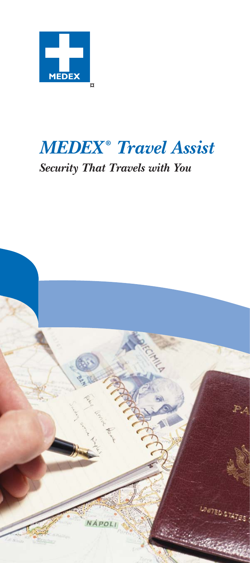

# *MEDEX ® Travel Assist*

# *Security That Travels with You*

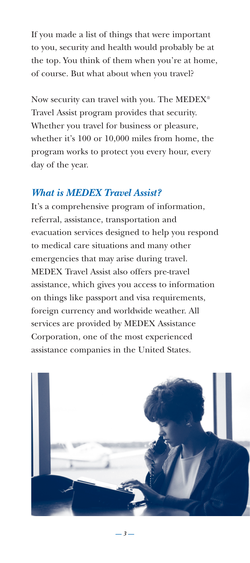If you made a list of things that were important to you, security and health would probably be at the top. You think of them when you're at home, of course. But what about when you travel?

Now security can travel with you. The MEDEX® Travel Assist program provides that security. Whether you travel for business or pleasure, whether it's 100 or 10,000 miles from home, the program works to protect you every hour, every day of the year.

#### *What is MEDEX Travel Assist?*

It's a comprehensive program of information, referral, assistance, transportation and evacuation services designed to help you respond to medical care situations and many other emergencies that may arise during travel. MEDEX Travel Assist also offers pre-travel assistance, which gives you access to information on things like passport and visa requirements, foreign currency and worldwide weather. All services are provided by MEDEX Assistance Corporation, one of the most experienced assistance companies in the United States.



*— 3 —*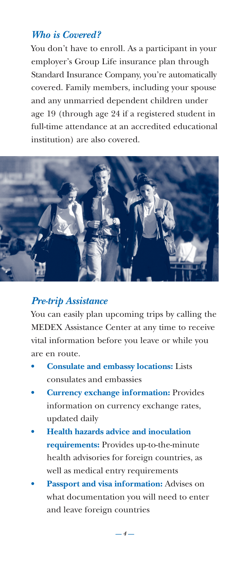#### *Who is Covered?*

You don't have to enroll. As a participant in your employer's Group Life insurance plan through Standard Insurance Company, you're automatically covered. Family members, including your spouse and any unmarried dependent children under age 19 (through age 24 if a registered student in full-time attendance at an accredited educational institution) are also covered.



#### *Pre-trip Assistance*

You can easily plan upcoming trips by calling the MEDEX Assistance Center at any time to receive vital information before you leave or while you are en route.

- **Consulate and embassy locations:** Lists consulates and embassies
- **Currency exchange information:** Provides information on currency exchange rates, updated daily
- **Health hazards advice and inoculation requirements:** Provides up-to-the-minute health advisories for foreign countries, as well as medical entry requirements
- **Passport and visa information:** Advises on what documentation you will need to enter and leave foreign countries

*— 4 —*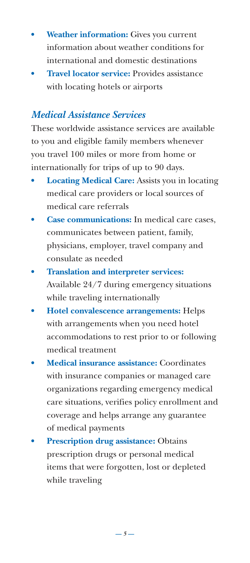- **Weather information:** Gives you current information about weather conditions for international and domestic destinations
- **Travel locator service:** Provides assistance with locating hotels or airports

#### *Medical Assistance Services*

These worldwide assistance services are available to you and eligible family members whenever you travel 100 miles or more from home or internationally for trips of up to 90 days.

- **Locating Medical Care:** Assists you in locating medical care providers or local sources of medical care referrals
- **Case communications:** In medical care cases, communicates between patient, family, physicians, employer, travel company and consulate as needed
- **Translation and interpreter services:** Available 24/7 during emergency situations while traveling internationally
- **Hotel convalescence arrangements:** Helps with arrangements when you need hotel accommodations to rest prior to or following medical treatment
- **Medical insurance assistance:** Coordinates with insurance companies or managed care organizations regarding emergency medical care situations, verifies policy enrollment and coverage and helps arrange any guarantee of medical payments
- **Prescription drug assistance:** Obtains prescription drugs or personal medical items that were forgotten, lost or depleted while traveling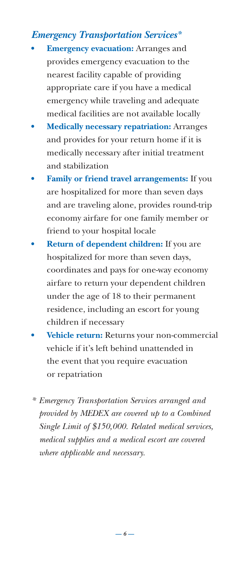# *Emergency Transportation Services\**

- **Emergency evacuation:** Arranges and provides emergency evacuation to the nearest facility capable of providing appropriate care if you have a medical emergency while traveling and adequate medical facilities are not available locally
- **Medically necessary repatriation:** Arranges and provides for your return home if it is medically necessary after initial treatment and stabilization
- **Family or friend travel arrangements:** If you are hospitalized for more than seven days and are traveling alone, provides round-trip economy airfare for one family member or friend to your hospital locale
- **Return of dependent children:** If you are hospitalized for more than seven days, coordinates and pays for one-way economy airfare to return your dependent children under the age of 18 to their permanent residence, including an escort for young children if necessary
- **Vehicle return:** Returns your non-commercial vehicle if it's left behind unattended in the event that you require evacuation or repatriation
- *\* Emergency Transportation Services arranged and provided by MEDEX are covered up to a Combined Single Limit of \$150,000. Related medical services, medical supplies and a medical escort are covered where applicable and necessary.*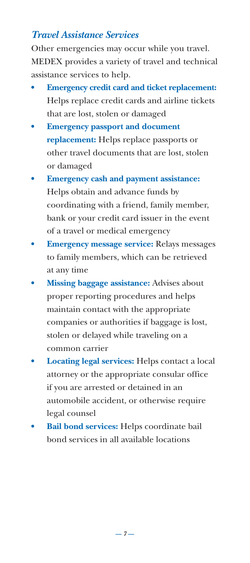## *Travel Assistance Services*

Other emergencies may occur while you travel. MEDEX provides a variety of travel and technical assistance services to help.

- **Emergency credit card and ticket replacement:** Helps replace credit cards and airline tickets that are lost, stolen or damaged
- **Emergency passport and document replacement:** Helps replace passports or other travel documents that are lost, stolen or damaged
- **Emergency cash and payment assistance:** Helps obtain and advance funds by coordinating with a friend, family member, bank or your credit card issuer in the event of a travel or medical emergency
- **Emergency message service:** Relays messages to family members, which can be retrieved at any time
- **Missing baggage assistance:** Advises about proper reporting procedures and helps maintain contact with the appropriate companies or authorities if baggage is lost, stolen or delayed while traveling on a common carrier
- **Locating legal services:** Helps contact a local attorney or the appropriate consular office if you are arrested or detained in an automobile accident, or otherwise require legal counsel
- **Bail bond services:** Helps coordinate bail bond services in all available locations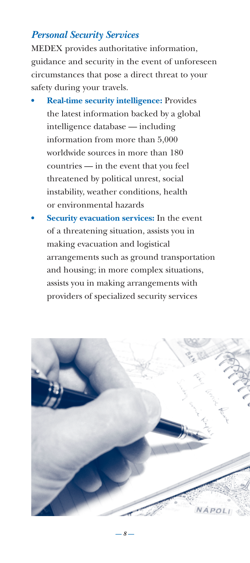## *Personal Security Services*

MEDEX provides authoritative information, guidance and security in the event of unforeseen circumstances that pose a direct threat to your safety during your travels.

- **Real-time security intelligence:** Provides the latest information backed by a global intelligence database — including information from more than 5,000 worldwide sources in more than 180 countries — in the event that you feel threatened by political unrest, social instability, weather conditions, health or environmental hazards
- **Security evacuation services:** In the event of a threatening situation, assists you in making evacuation and logistical arrangements such as ground transportation and housing; in more complex situations, assists you in making arrangements with providers of specialized security services



*— 8 —*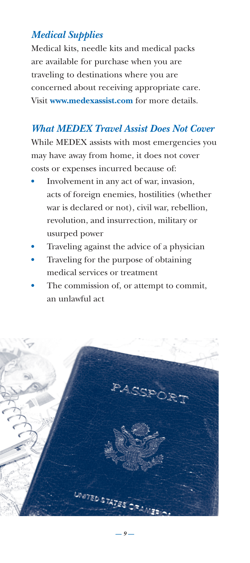# *Medical Supplies*

Medical kits, needle kits and medical packs are available for purchase when you are traveling to destinations where you are concerned about receiving appropriate care. Visit **www.medexassist.com** for more details.

## *What MEDEX Travel Assist Does Not Cover*

While MEDEX assists with most emergencies you may have away from home, it does not cover costs or expenses incurred because of:

- **•** Involvement in any act of war, invasion, acts of foreign enemies, hostilities (whether war is declared or not), civil war, rebellion, revolution, and insurrection, military or usurped power
- **•** Traveling against the advice of a physician
- **•** Traveling for the purpose of obtaining medical services or treatment
- **•** The commission of, or attempt to commit, an unlawful act

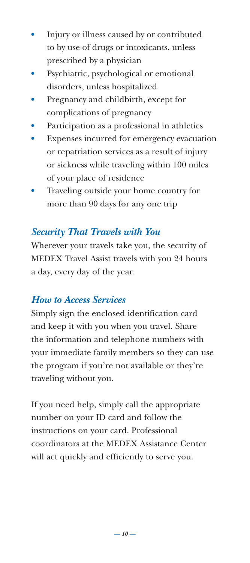- **•** Injury or illness caused by or contributed to by use of drugs or intoxicants, unless prescribed by a physician
- **•** Psychiatric, psychological or emotional disorders, unless hospitalized
- **•** Pregnancy and childbirth, except for complications of pregnancy
- **•** Participation as a professional in athletics
- **•** Expenses incurred for emergency evacuation or repatriation services as a result of injury or sickness while traveling within 100 miles of your place of residence
- **•** Traveling outside your home country for more than 90 days for any one trip

# *Security That Travels with You*

Wherever your travels take you, the security of MEDEX Travel Assist travels with you 24 hours a day, every day of the year.

#### *How to Access Services*

Simply sign the enclosed identification card and keep it with you when you travel. Share the information and telephone numbers with your immediate family members so they can use the program if you're not available or they're traveling without you.

If you need help, simply call the appropriate number on your ID card and follow the instructions on your card. Professional coordinators at the MEDEX Assistance Center will act quickly and efficiently to serve you.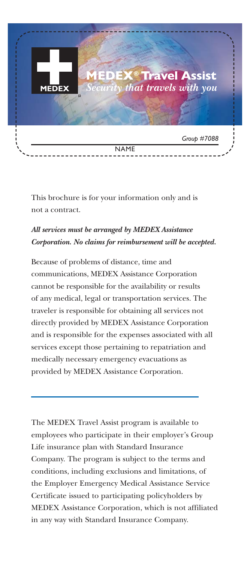

This brochure is for your information only and is not a contract.

#### *All services must be arranged by MEDEX Assistance Corporation. No claims for reimbursement will be accepted.*

Because of problems of distance, time and communications, MEDEX Assistance Corporation cannot be responsible for the availability or results of any medical, legal or transportation services. The traveler is responsible for obtaining all services not directly provided by MEDEX Assistance Corporation and is responsible for the expenses associated with all services except those pertaining to repatriation and medically necessary emergency evacuations as provided by MEDEX Assistance Corporation.

The MEDEX Travel Assist program is available to employees who participate in their employer's Group Life insurance plan with Standard Insurance Company. The program is subject to the terms and conditions, including exclusions and limitations, of the Employer Emergency Medical Assistance Service Certificate issued to participating policyholders by MEDEX Assistance Corporation, which is not affiliated in any way with Standard Insurance Company.